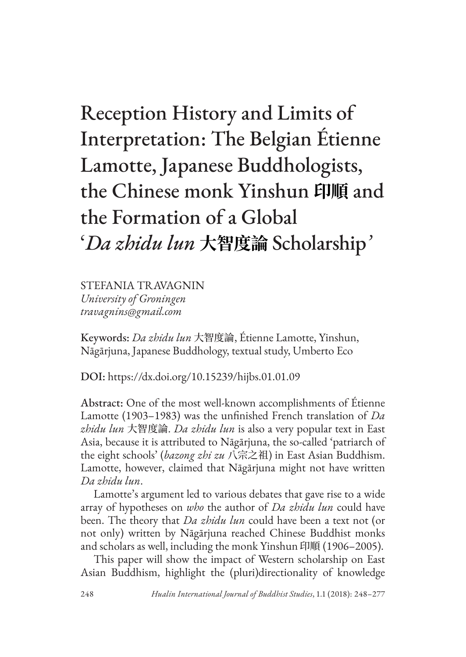# Reception History and Limits of Interpretation: The Belgian Étienne Lamotte, Japanese Buddhologists, the Chinese monk Yinshun **印順** and the Formation of a Global '*Da zhidu lun* **大智度論** Scholarship*'*

STEFANIA TRAVAGNIN *University of Groningen travagnins@gmail.com*

Keywords: *Da zhidu lun* 大智度論, Étienne Lamotte, Yinshun, Nāgārjuna, Japanese Buddhology, textual study, Umberto Eco

DOI: https://dx.doi.org/10.15239/hijbs.01.01.09

Abstract: One of the most well-known accomplishments of Étienne Lamotte (1903–1983) was the unfinished French translation of *Da zhidu lun* 大智度論. *Da zhidu lun* is also a very popular text in East Asia, because it is attributed to Nāgārjuna, the so-called 'patriarch of the eight schools' (*bazong zhi zu* 八宗之祖) in East Asian Buddhism. Lamotte, however, claimed that Nāgārjuna might not have written *Da zhidu lun*.

Lamotte's argument led to various debates that gave rise to a wide array of hypotheses on *who* the author of *Da zhidu lun* could have been. The theory that *Da zhidu lun* could have been a text not (or not only) written by Nāgārjuna reached Chinese Buddhist monks and scholars as well, including the monk Yinshun 印順 (1906–2005).

This paper will show the impact of Western scholarship on East Asian Buddhism, highlight the (pluri)directionality of knowledge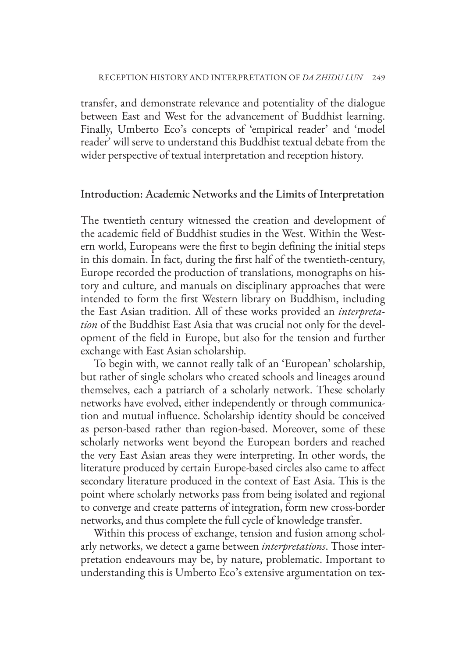transfer, and demonstrate relevance and potentiality of the dialogue between East and West for the advancement of Buddhist learning. Finally, Umberto Eco's concepts of 'empirical reader' and 'model reader' will serve to understand this Buddhist textual debate from the wider perspective of textual interpretation and reception history.

#### Introduction: Academic Networks and the Limits of Interpretation

The twentieth century witnessed the creation and development of the academic field of Buddhist studies in the West. Within the Western world, Europeans were the first to begin defining the initial steps in this domain. In fact, during the first half of the twentieth-century, Europe recorded the production of translations, monographs on history and culture, and manuals on disciplinary approaches that were intended to form the first Western library on Buddhism, including the East Asian tradition. All of these works provided an *interpretation* of the Buddhist East Asia that was crucial not only for the development of the field in Europe, but also for the tension and further exchange with East Asian scholarship.

To begin with, we cannot really talk of an 'European' scholarship, but rather of single scholars who created schools and lineages around themselves, each a patriarch of a scholarly network. These scholarly networks have evolved, either independently or through communication and mutual influence. Scholarship identity should be conceived as person-based rather than region-based. Moreover, some of these scholarly networks went beyond the European borders and reached the very East Asian areas they were interpreting. In other words, the literature produced by certain Europe-based circles also came to affect secondary literature produced in the context of East Asia. This is the point where scholarly networks pass from being isolated and regional to converge and create patterns of integration, form new cross-border networks, and thus complete the full cycle of knowledge transfer.

Within this process of exchange, tension and fusion among scholarly networks, we detect a game between *interpretations*. Those interpretation endeavours may be, by nature, problematic. Important to understanding this is Umberto Eco's extensive argumentation on tex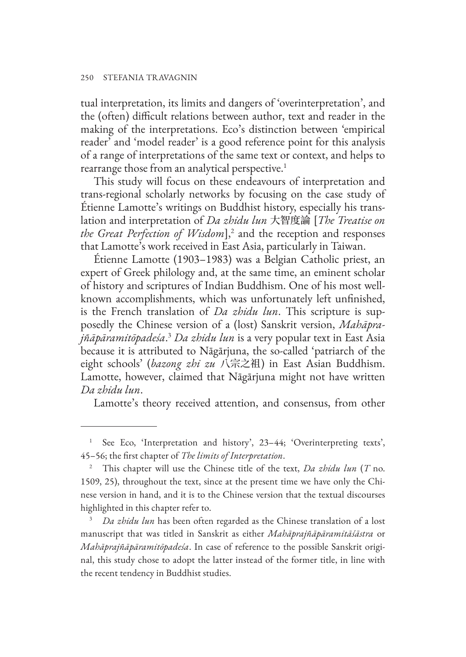tual interpretation, its limits and dangers of 'overinterpretation', and the (often) difficult relations between author, text and reader in the making of the interpretations. Eco's distinction between 'empirical reader' and 'model reader' is a good reference point for this analysis of a range of interpretations of the same text or context, and helps to rearrange those from an analytical perspective.<sup>1</sup>

This study will focus on these endeavours of interpretation and trans-regional scholarly networks by focusing on the case study of Étienne Lamotte's writings on Buddhist history, especially his translation and interpretation of *Da zhidu lun* 大智度論 [*The Treatise on the Great Perfection of Wisdom*],<sup>2</sup> and the reception and responses that Lamotte's work received in East Asia, particularly in Taiwan.

Étienne Lamotte (1903–1983) was a Belgian Catholic priest, an expert of Greek philology and, at the same time, an eminent scholar of history and scriptures of Indian Buddhism. One of his most wellknown accomplishments, which was unfortunately left unfinished, is the French translation of *Da zhidu lun*. This scripture is supposedly the Chinese version of a (lost) Sanskrit version, *Mahāprajñāpāramitōpadeśa*. <sup>3</sup> *Da zhidu lun* is a very popular text in East Asia because it is attributed to Nāgārjuna, the so-called 'patriarch of the eight schools' (*bazong zhi zu* 八宗之祖) in East Asian Buddhism. Lamotte, however, claimed that Nāgārjuna might not have written *Da zhidu lun*.

Lamotte's theory received attention, and consensus, from other

See Eco, 'Interpretation and history', 23-44; 'Overinterpreting texts', 45–56; the first chapter of *The limits of Interpretation*.

<sup>2</sup> This chapter will use the Chinese title of the text, *Da zhidu lun* (*T* no. 1509, 25), throughout the text, since at the present time we have only the Chinese version in hand, and it is to the Chinese version that the textual discourses highlighted in this chapter refer to.

<sup>3</sup> *Da zhidu lun* has been often regarded as the Chinese translation of a lost manuscript that was titled in Sanskrit as either *Mahāprajñāpāramitāśāstra* or *Mahāprajñāpāramitōpadeśa*. In case of reference to the possible Sanskrit original, this study chose to adopt the latter instead of the former title, in line with the recent tendency in Buddhist studies.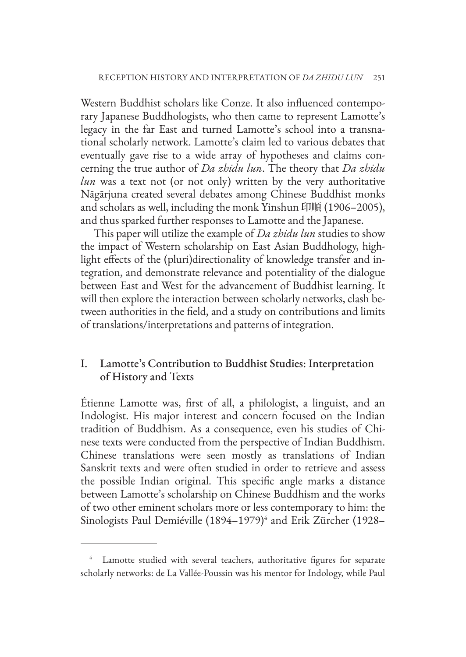Western Buddhist scholars like Conze. It also influenced contemporary Japanese Buddhologists, who then came to represent Lamotte's legacy in the far East and turned Lamotte's school into a transnational scholarly network. Lamotte's claim led to various debates that eventually gave rise to a wide array of hypotheses and claims concerning the true author of *Da zhidu lun*. The theory that *Da zhidu lun* was a text not (or not only) written by the very authoritative Nāgārjuna created several debates among Chinese Buddhist monks and scholars as well, including the monk Yinshun 印順 (1906–2005), and thus sparked further responses to Lamotte and the Japanese.

This paper will utilize the example of *Da zhidu lun* studies to show the impact of Western scholarship on East Asian Buddhology, highlight effects of the (pluri)directionality of knowledge transfer and integration, and demonstrate relevance and potentiality of the dialogue between East and West for the advancement of Buddhist learning. It will then explore the interaction between scholarly networks, clash between authorities in the field, and a study on contributions and limits of translations/interpretations and patterns of integration.

# I. Lamotte's Contribution to Buddhist Studies: Interpretation of History and Texts

Étienne Lamotte was, first of all, a philologist, a linguist, and an Indologist. His major interest and concern focused on the Indian tradition of Buddhism. As a consequence, even his studies of Chinese texts were conducted from the perspective of Indian Buddhism. Chinese translations were seen mostly as translations of Indian Sanskrit texts and were often studied in order to retrieve and assess the possible Indian original. This specific angle marks a distance between Lamotte's scholarship on Chinese Buddhism and the works of two other eminent scholars more or less contemporary to him: the Sinologists Paul Demiéville (1894–1979)<sup>4</sup> and Erik Zürcher (1928–

Lamotte studied with several teachers, authoritative figures for separate scholarly networks: de La Vallée-Poussin was his mentor for Indology, while Paul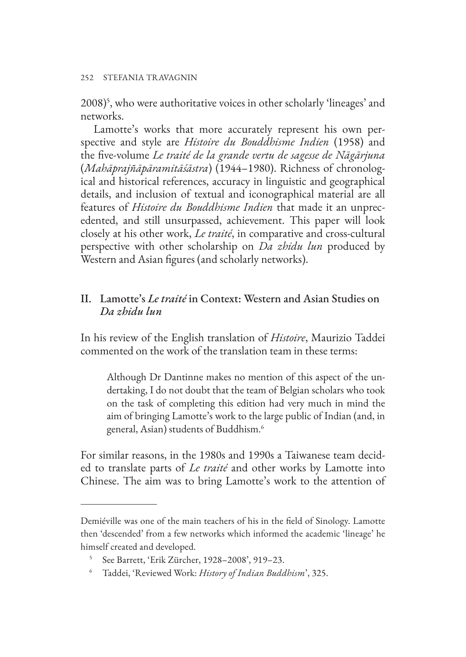2008)5 , who were authoritative voices in other scholarly 'lineages' and networks.

Lamotte's works that more accurately represent his own perspective and style are *Histoire du Bouddhisme Indien* (1958) and the five-volume *Le traité de la grande vertu de sagesse de Nāgārjuna*  (*Mahāprajñāpāramitāśāstra*) (1944–1980). Richness of chronological and historical references, accuracy in linguistic and geographical details, and inclusion of textual and iconographical material are all features of *Histoire du Bouddhisme Indien* that made it an unprecedented, and still unsurpassed, achievement. This paper will look closely at his other work, *Le traité*, in comparative and cross-cultural perspective with other scholarship on *Da zhidu lun* produced by Western and Asian figures (and scholarly networks).

# II. Lamotte's *Le traité* in Context: Western and Asian Studies on *Da zhidu lun*

In his review of the English translation of *Histoire*, Maurizio Taddei commented on the work of the translation team in these terms:

Although Dr Dantinne makes no mention of this aspect of the undertaking, I do not doubt that the team of Belgian scholars who took on the task of completing this edition had very much in mind the aim of bringing Lamotte's work to the large public of Indian (and, in general, Asian) students of Buddhism.6

For similar reasons, in the 1980s and 1990s a Taiwanese team decided to translate parts of *Le traité* and other works by Lamotte into Chinese. The aim was to bring Lamotte's work to the attention of

Demiéville was one of the main teachers of his in the field of Sinology. Lamotte then 'descended' from a few networks which informed the academic 'lineage' he himself created and developed.

<sup>5</sup> See Barrett, 'Erik Zürcher, 1928–2008', 919–23.

<sup>6</sup> Taddei, 'Reviewed Work: *History of Indian Buddhism*', 325.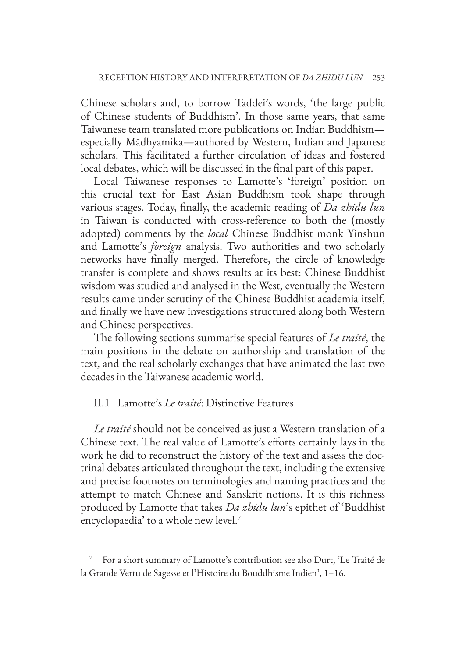Chinese scholars and, to borrow Taddei's words, 'the large public of Chinese students of Buddhism'. In those same years, that same Taiwanese team translated more publications on Indian Buddhism especially Mādhyamika—authored by Western, Indian and Japanese scholars. This facilitated a further circulation of ideas and fostered local debates, which will be discussed in the final part of this paper.

Local Taiwanese responses to Lamotte's 'foreign' position on this crucial text for East Asian Buddhism took shape through various stages. Today, finally, the academic reading of *Da zhidu lun* in Taiwan is conducted with cross-reference to both the (mostly adopted) comments by the *local* Chinese Buddhist monk Yinshun and Lamotte's *foreign* analysis. Two authorities and two scholarly networks have finally merged. Therefore, the circle of knowledge transfer is complete and shows results at its best: Chinese Buddhist wisdom was studied and analysed in the West, eventually the Western results came under scrutiny of the Chinese Buddhist academia itself, and finally we have new investigations structured along both Western and Chinese perspectives.

The following sections summarise special features of *Le traité*, the main positions in the debate on authorship and translation of the text, and the real scholarly exchanges that have animated the last two decades in the Taiwanese academic world.

### II.1 Lamotte's *Le traité*: Distinctive Features

*Le traité* should not be conceived as just a Western translation of a Chinese text. The real value of Lamotte's efforts certainly lays in the work he did to reconstruct the history of the text and assess the doctrinal debates articulated throughout the text, including the extensive and precise footnotes on terminologies and naming practices and the attempt to match Chinese and Sanskrit notions. It is this richness produced by Lamotte that takes *Da zhidu lun*'s epithet of 'Buddhist encyclopaedia' to a whole new level.7

<sup>7</sup> For a short summary of Lamotte's contribution see also Durt, 'Le Traité de la Grande Vertu de Sagesse et l'Histoire du Bouddhisme Indien', 1–16.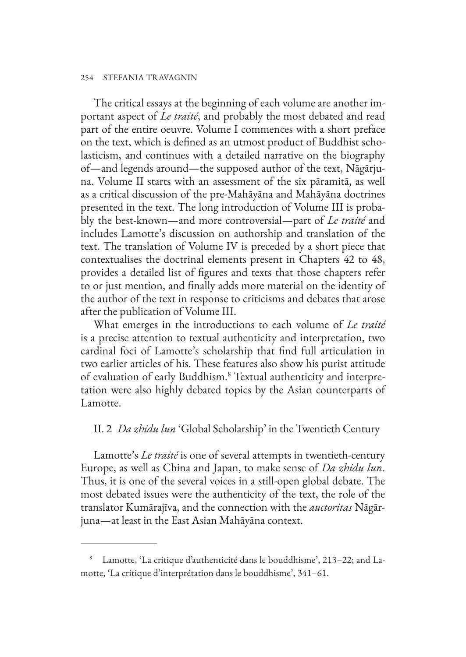#### 254 STEFANIA TRAVAGNIN

The critical essays at the beginning of each volume are another important aspect of *Le traité*, and probably the most debated and read part of the entire oeuvre. Volume I commences with a short preface on the text, which is defined as an utmost product of Buddhist scholasticism, and continues with a detailed narrative on the biography of—and legends around—the supposed author of the text, Nāgārjuna. Volume II starts with an assessment of the six pāramitā, as well as a critical discussion of the pre-Mahāyāna and Mahāyāna doctrines presented in the text. The long introduction of Volume III is probably the best-known—and more controversial—part of *Le traité* and includes Lamotte's discussion on authorship and translation of the text. The translation of Volume IV is preceded by a short piece that contextualises the doctrinal elements present in Chapters 42 to 48, provides a detailed list of figures and texts that those chapters refer to or just mention, and finally adds more material on the identity of the author of the text in response to criticisms and debates that arose after the publication of Volume III.

What emerges in the introductions to each volume of *Le traité* is a precise attention to textual authenticity and interpretation, two cardinal foci of Lamotte's scholarship that find full articulation in two earlier articles of his. These features also show his purist attitude of evaluation of early Buddhism.<sup>8</sup> Textual authenticity and interpretation were also highly debated topics by the Asian counterparts of Lamotte.

#### II. 2 *Da zhidu lun* 'Global Scholarship' in the Twentieth Century

Lamotte's *Le traité* is one of several attempts in twentieth-century Europe, as well as China and Japan, to make sense of *Da zhidu lun*. Thus, it is one of the several voices in a still-open global debate. The most debated issues were the authenticity of the text, the role of the translator Kumārajīva, and the connection with the *auctoritas* Nāgārjuna—at least in the East Asian Mahāyāna context.

<sup>8</sup> Lamotte, 'La critique d'authenticité dans le bouddhisme', 213–22; and Lamotte, 'La critique d'interprétation dans le bouddhisme', 341–61.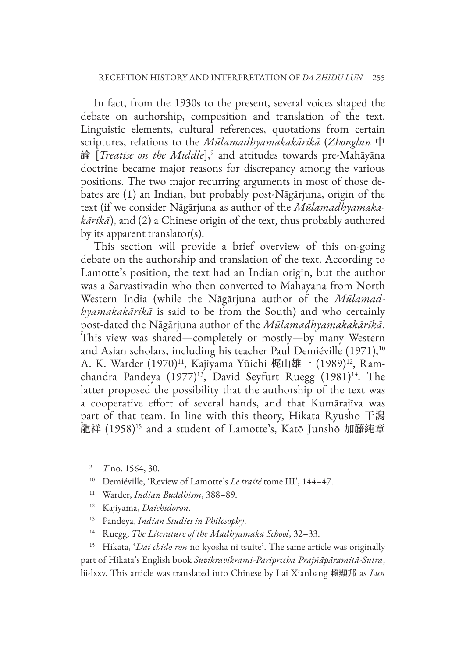In fact, from the 1930s to the present, several voices shaped the debate on authorship, composition and translation of the text. Linguistic elements, cultural references, quotations from certain scriptures, relations to the *Mūlamadhyamakakārikā* (*Zhonglun* 中 論 [*Treatise on the Middle*],<sup>9</sup> and attitudes towards pre-Mahāyāna doctrine became major reasons for discrepancy among the various positions. The two major recurring arguments in most of those debates are (1) an Indian, but probably post-Nāgārjuna, origin of the text (if we consider Nāgārjuna as author of the *Mūlamadhyamakakārikā*), and (2) a Chinese origin of the text, thus probably authored by its apparent translator(s).

This section will provide a brief overview of this on-going debate on the authorship and translation of the text. According to Lamotte's position, the text had an Indian origin, but the author was a Sarvāstivādin who then converted to Mahāyāna from North Western India (while the Nāgārjuna author of the *Mūlamadhyamakakārikā* is said to be from the South) and who certainly post-dated the Nāgārjuna author of the *Mūlamadhyamakakārikā*. This view was shared—completely or mostly—by many Western and Asian scholars, including his teacher Paul Demiéville (1971),<sup>10</sup> A. K. Warder (1970)<sup>11</sup>, Kajiyama Yūichi 梶山雄一 (1989)<sup>12</sup>, Ramchandra Pandeya  $(1977)^{13}$ , David Seyfurt Ruegg  $(1981)^{14}$ . The latter proposed the possibility that the authorship of the text was a cooperative effort of several hands, and that Kumārajīva was part of that team. In line with this theory, Hikata Ryūsho 干潟 龍祥 (1958)15 and a student of Lamotte's, Katō Junshō 加藤純章

- <sup>12</sup> Kajiyama, *Daichidoron*.
- <sup>13</sup> Pandeya, *Indian Studies in Philosophy*.
- <sup>14</sup> Ruegg, *The Literature of the Madhyamaka School*, 32–33.

<sup>15</sup> Hikata, '*Dai chido ron* no kyosha ni tsuite'. The same article was originally part of Hikata's English book *Suvikravikrami-Pariprccha Prajñāpāramitā-Sutra*, lii-lxxv. This article was translated into Chinese by Lai Xianbang 賴顯邦 as *Lun* 

<sup>9</sup> *T* no. 1564, 30.

<sup>10</sup> Demiéville, 'Review of Lamotte's *Le traité* tome III', 144–47.

<sup>11</sup> Warder, *Indian Buddhism*, 388–89.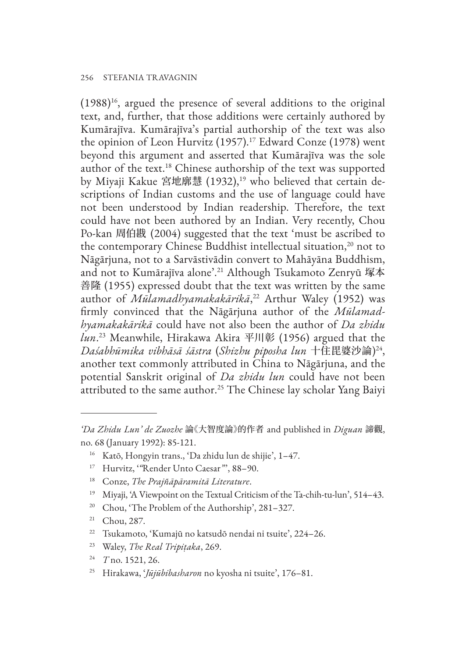$(1988)^{16}$ , argued the presence of several additions to the original text, and, further, that those additions were certainly authored by Kumārajīva. Kumārajīva's partial authorship of the text was also the opinion of Leon Hurvitz (1957).<sup>17</sup> Edward Conze (1978) went beyond this argument and asserted that Kumārajīva was the sole author of the text.18 Chinese authorship of the text was supported by Miyaji Kakue 宮地廓慧 (1932),<sup>19</sup> who believed that certain descriptions of Indian customs and the use of language could have not been understood by Indian readership. Therefore, the text could have not been authored by an Indian. Very recently, Chou Po-kan 周伯戡 (2004) suggested that the text 'must be ascribed to the contemporary Chinese Buddhist intellectual situation,<sup>20</sup> not to Nāgārjuna, not to a Sarvāstivādin convert to Mahāyāna Buddhism, and not to Kumārajīva alone'.21 Although Tsukamoto Zenryū 塚本 善隆 (1955) expressed doubt that the text was written by the same author of *Mūlamadhyamakakārikā*, 22 Arthur Waley (1952) was firmly convinced that the Nāgārjuna author of the *Mūlamadhyamakakārikā* could have not also been the author of *Da zhidu lun*. 23 Meanwhile, Hirakawa Akira 平川彰 (1956) argued that the *Daśabhūmika vibhāsā śāstra* (*Shizhu piposha lun* 十住毘婆沙論) 24, another text commonly attributed in China to Nāgārjuna, and the potential Sanskrit original of *Da zhidu lun* could have not been attributed to the same author.<sup>25</sup> The Chinese lay scholar Yang Baiyi

- <sup>20</sup> Chou, 'The Problem of the Authorship', 281-327.
- <sup>21</sup> Chou, 287.
- <sup>22</sup> Tsukamoto, 'Kumajū no katsudō nendai ni tsuite', 224–26.
- <sup>23</sup> Waley, *The Real Tripiṭaka*, 269.
- <sup>24</sup> *T* no. 1521, 26.
- <sup>25</sup> Hirakawa, '*Jūjūbibasharon* no kyosha ni tsuite', 176–81.

*<sup>&#</sup>x27;Da Zhidu Lun' de Zuozhe* 論《大智度論》的作者 and published in *Diguan* 諦觀, no. 68 (January 1992): 85-121.

<sup>16</sup> Katō, Hongyin trans., 'Da zhidu lun de shijie', 1–47.

<sup>17</sup> Hurvitz, '*"*Render Unto Caesar*"*', 88–90.

<sup>18</sup> Conze, *The Prajñāpāramitā Literature*.

<sup>19</sup> Miyaji, 'A Viewpoint on the Textual Criticism of the Ta-chih-tu-lun', 514–43.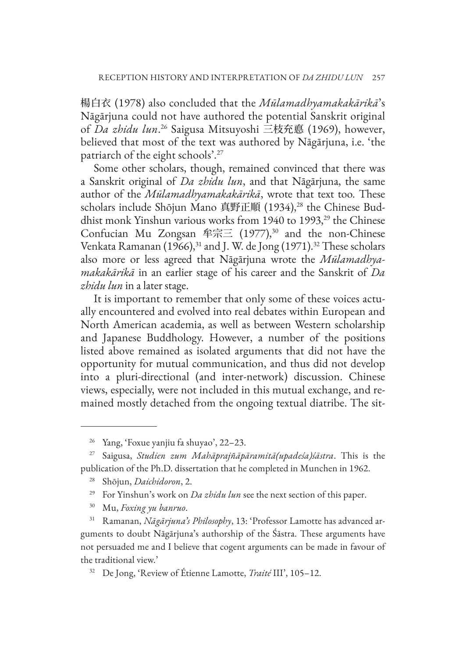楊白衣 (1978) also concluded that the *Mūlamadhyamakakārikā*'s Nāgārjuna could not have authored the potential Sanskrit original of *Da zhidu lun*. 26 Saigusa Mitsuyoshi 三枝充悳 (1969), however, believed that most of the text was authored by Nāgārjuna, i.e. 'the patriarch of the eight schools'.27

Some other scholars, though, remained convinced that there was a Sanskrit original of *Da zhidu lun*, and that Nāgārjuna, the same author of the *Mūlamadhyamakakārikā*, wrote that text too. These scholars include Shōjun Mano 真野正順 (1934),<sup>28</sup> the Chinese Buddhist monk Yinshun various works from 1940 to 1993,<sup>29</sup> the Chinese Confucian Mu Zongsan 牟宗三 (1977), 30 and the non-Chinese Venkata Ramanan (1966),<sup>31</sup> and J. W. de Jong (1971).<sup>32</sup> These scholars also more or less agreed that Nāgārjuna wrote the *Mūlamadhyamakakārikā* in an earlier stage of his career and the Sanskrit of *Da zhidu lun* in a later stage.

It is important to remember that only some of these voices actually encountered and evolved into real debates within European and North American academia, as well as between Western scholarship and Japanese Buddhology. However, a number of the positions listed above remained as isolated arguments that did not have the opportunity for mutual communication, and thus did not develop into a pluri-directional (and inter-network) discussion. Chinese views, especially, were not included in this mutual exchange, and remained mostly detached from the ongoing textual diatribe. The sit-

<sup>29</sup> For Yinshun's work on *Da zhidu lun* see the next section of this paper.

<sup>26</sup> Yang, 'Foxue yanjiu fa shuyao', 22–23.

<sup>27</sup> Saigusa, *Studien zum Mahāprajñāpāramitā(upadeśa)śāstra*. This is the publication of the Ph.D. dissertation that he completed in Munchen in 1962.

<sup>28</sup> Shōjun, *Daichidoron*, 2.

<sup>30</sup> Mu, *Foxing yu banruo*.

<sup>31</sup> Ramanan, *Nāgārjuna's Philosophy*, 13: 'Professor Lamotte has advanced arguments to doubt Nāgārjuna's authorship of the Śāstra. These arguments have not persuaded me and I believe that cogent arguments can be made in favour of the traditional view.'

<sup>32</sup> De Jong, 'Review of Étienne Lamotte, *Traité* III', 105–12.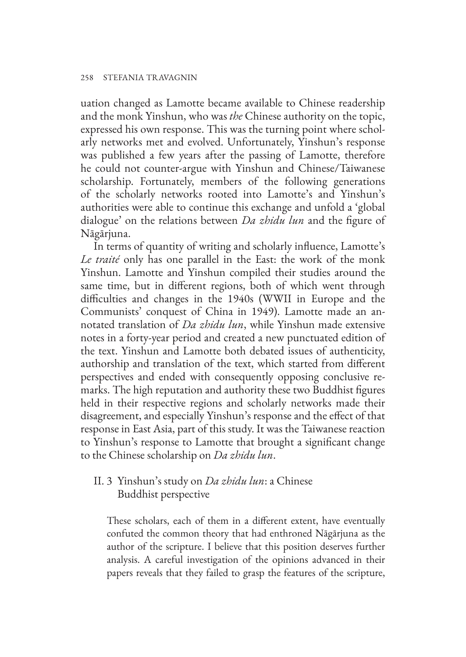uation changed as Lamotte became available to Chinese readership and the monk Yinshun, who was *the* Chinese authority on the topic, expressed his own response. This was the turning point where scholarly networks met and evolved. Unfortunately, Yinshun's response was published a few years after the passing of Lamotte, therefore he could not counter-argue with Yinshun and Chinese/Taiwanese scholarship. Fortunately, members of the following generations of the scholarly networks rooted into Lamotte's and Yinshun's authorities were able to continue this exchange and unfold a 'global dialogue' on the relations between *Da zhidu lun* and the figure of Nāgārjuna.

In terms of quantity of writing and scholarly influence, Lamotte's *Le traité* only has one parallel in the East: the work of the monk Yinshun. Lamotte and Yinshun compiled their studies around the same time, but in different regions, both of which went through difficulties and changes in the 1940s (WWII in Europe and the Communists' conquest of China in 1949). Lamotte made an annotated translation of *Da zhidu lun*, while Yinshun made extensive notes in a forty-year period and created a new punctuated edition of the text. Yinshun and Lamotte both debated issues of authenticity, authorship and translation of the text, which started from different perspectives and ended with consequently opposing conclusive remarks. The high reputation and authority these two Buddhist figures held in their respective regions and scholarly networks made their disagreement, and especially Yinshun's response and the effect of that response in East Asia, part of this study. It was the Taiwanese reaction to Yinshun's response to Lamotte that brought a significant change to the Chinese scholarship on *Da zhidu lun*.

# II. 3 Yinshun's study on *Da zhidu lun*: a Chinese Buddhist perspective

These scholars, each of them in a different extent, have eventually confuted the common theory that had enthroned Nāgārjuna as the author of the scripture. I believe that this position deserves further analysis. A careful investigation of the opinions advanced in their papers reveals that they failed to grasp the features of the scripture,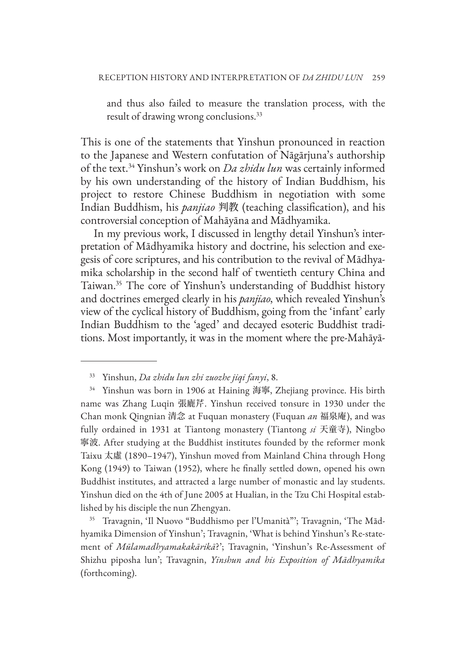and thus also failed to measure the translation process, with the result of drawing wrong conclusions.<sup>33</sup>

This is one of the statements that Yinshun pronounced in reaction to the Japanese and Western confutation of Nāgārjuna's authorship of the text.34 Yinshun's work on *Da zhidu lun* was certainly informed by his own understanding of the history of Indian Buddhism, his project to restore Chinese Buddhism in negotiation with some Indian Buddhism, his *panjiao* 判教 (teaching classification), and his controversial conception of Mahāyāna and Mādhyamika.

In my previous work, I discussed in lengthy detail Yinshun's interpretation of Mādhyamika history and doctrine, his selection and exegesis of core scriptures, and his contribution to the revival of Mādhyamika scholarship in the second half of twentieth century China and Taiwan.35 The core of Yinshun's understanding of Buddhist history and doctrines emerged clearly in his *panjiao*, which revealed Yinshun's view of the cyclical history of Buddhism, going from the 'infant' early Indian Buddhism to the 'aged' and decayed esoteric Buddhist traditions. Most importantly, it was in the moment where the pre-Mahāyā-

<sup>35</sup> Travagnin, 'Il Nuovo "Buddhismo per l'Umanità"'; Travagnin, 'The Mādhyamika Dimension of Yinshun'; Travagnin, 'What is behind Yinshun's Re-statement of *Mūlamadhyamakakārikā*?'; Travagnin, 'Yinshun's Re-Assessment of Shizhu piposha lun'; Travagnin, *Yinshun and his Exposition of Mādhyamika* (forthcoming).

<sup>33</sup> Yinshun, *Da zhidu lun zhi zuozhe jiqi fanyi*, 8.

<sup>34</sup> Yinshun was born in 1906 at Haining 海寧, Zhejiang province. His birth name was Zhang Luqin 張廘芹. Yinshun received tonsure in 1930 under the Chan monk Qingnian 清念 at Fuquan monastery (Fuquan *an* 福泉庵), and was fully ordained in 1931 at Tiantong monastery (Tiantong *si* 天童寺), Ningbo 寧波. After studying at the Buddhist institutes founded by the reformer monk Taixu 太虛 (1890–1947), Yinshun moved from Mainland China through Hong Kong (1949) to Taiwan (1952), where he finally settled down, opened his own Buddhist institutes, and attracted a large number of monastic and lay students. Yinshun died on the 4th of June 2005 at Hualian, in the Tzu Chi Hospital established by his disciple the nun Zhengyan.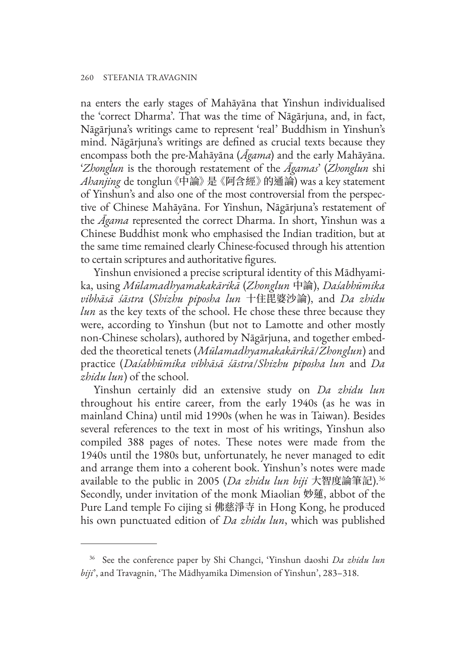na enters the early stages of Mahāyāna that Yinshun individualised the 'correct Dharma'. That was the time of Nāgārjuna, and, in fact, Nāgārjuna's writings came to represent 'real' Buddhism in Yinshun's mind. Nāgārjuna's writings are defined as crucial texts because they encompass both the pre-Mahāyāna (*Āgama*) and the early Mahāyāna. '*Zhonglun* is the thorough restatement of the *Āgamas*' (*Zhonglun* shi *Ahanjing* de tonglun《中論》是《阿含經》的通論) was a key statement of Yinshun's and also one of the most controversial from the perspective of Chinese Mahāyāna. For Yinshun, Nāgārjuna's restatement of the *Āgama* represented the correct Dharma. In short, Yinshun was a Chinese Buddhist monk who emphasised the Indian tradition, but at the same time remained clearly Chinese-focused through his attention to certain scriptures and authoritative figures.

Yinshun envisioned a precise scriptural identity of this Mādhyamika, using *Mūlamadhyamakakārikā* (*Zhonglun* 中論), *Daśabhūmika vibhāsā śāstra* (*Shizhu piposha lun* 十住毘婆沙論), and *Da zhidu lun* as the key texts of the school. He chose these three because they were, according to Yinshun (but not to Lamotte and other mostly non-Chinese scholars), authored by Nāgārjuna, and together embedded the theoretical tenets (*Mūlamadhyamakakārikā*/*Zhonglun*) and practice (*Daśabhūmika vibhāsā śāstra*/*Shizhu piposha lun* and *Da zhidu lun*) of the school.

Yinshun certainly did an extensive study on *Da zhidu lun* throughout his entire career, from the early 1940s (as he was in mainland China) until mid 1990s (when he was in Taiwan). Besides several references to the text in most of his writings, Yinshun also compiled 388 pages of notes. These notes were made from the 1940s until the 1980s but, unfortunately, he never managed to edit and arrange them into a coherent book. Yinshun's notes were made available to the public in 2005 (*Da zhidu lun biji* 大智度論筆記).36 Secondly, under invitation of the monk Miaolian 妙蓮, abbot of the Pure Land temple Fo cijing si 佛慈淨寺 in Hong Kong, he produced his own punctuated edition of *Da zhidu lun*, which was published

<sup>36</sup> See the conference paper by Shi Changci, 'Yinshun daoshi *Da zhidu lun biji*', and Travagnin, 'The Mādhyamika Dimension of Yinshun', 283–318.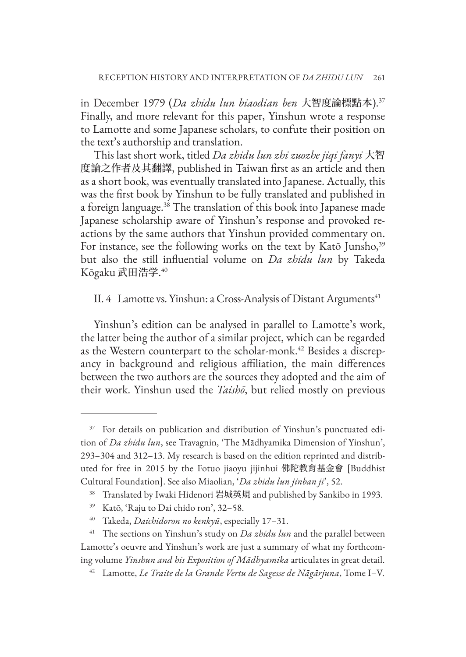in December 1979 (*Da zhidu lun biaodian ben* 大智度論標點本).37 Finally, and more relevant for this paper, Yinshun wrote a response to Lamotte and some Japanese scholars, to confute their position on the text's authorship and translation.

This last short work, titled *Da zhidu lun zhi zuozhe jiqi fanyi* 大智 度論之作者及其翻譯, published in Taiwan first as an article and then as a short book, was eventually translated into Japanese. Actually, this was the first book by Yinshun to be fully translated and published in a foreign language.38 The translation of this book into Japanese made Japanese scholarship aware of Yinshun's response and provoked reactions by the same authors that Yinshun provided commentary on. For instance, see the following works on the text by Katō Junsho,<sup>39</sup> but also the still influential volume on *Da zhidu lun* by Takeda Kōgaku 武田浩学. 40

#### II. 4 Lamotte vs. Yinshun: a Cross-Analysis of Distant Arguments<sup>41</sup>

Yinshun's edition can be analysed in parallel to Lamotte's work, the latter being the author of a similar project, which can be regarded as the Western counterpart to the scholar-monk.<sup>42</sup> Besides a discrepancy in background and religious affiliation, the main differences between the two authors are the sources they adopted and the aim of their work. Yinshun used the *Taishō*, but relied mostly on previous

<sup>&</sup>lt;sup>37</sup> For details on publication and distribution of Yinshun's punctuated edition of *Da zhidu lun*, see Travagnin, 'The Mādhyamika Dimension of Yinshun', 293–304 and 312–13. My research is based on the edition reprinted and distributed for free in 2015 by the Fotuo jiaoyu jijinhui 佛陀教育基金會 [Buddhist Cultural Foundation]. See also Miaolian, '*Da zhidu lun jinban ji*', 52.

<sup>38</sup> Translated by Iwaki Hidenori 岩城英規 and published by Sankibo in 1993.

<sup>39</sup> Katō, 'Raju to Dai chido ron', 32–58.

<sup>40</sup> Takeda, *Daichidoron no kenkyū*, especially 17–31.

<sup>&</sup>lt;sup>41</sup> The sections on Yinshun's study on *Da zhidu lun* and the parallel between Lamotte's oeuvre and Yinshun's work are just a summary of what my forthcoming volume *Yinshun and his Exposition of Mādhyamika* articulates in great detail.

<sup>42</sup> Lamotte, *Le Traite de la Grande Vertu de Sagesse de Nāgārjuna*, Tome I–V.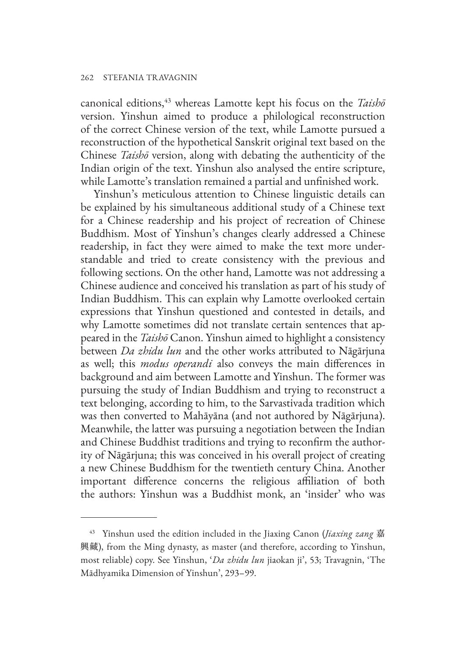canonical editions,43 whereas Lamotte kept his focus on the *Taishō* version. Yinshun aimed to produce a philological reconstruction of the correct Chinese version of the text, while Lamotte pursued a reconstruction of the hypothetical Sanskrit original text based on the Chinese *Taishō* version, along with debating the authenticity of the Indian origin of the text. Yinshun also analysed the entire scripture, while Lamotte's translation remained a partial and unfinished work.

Yinshun's meticulous attention to Chinese linguistic details can be explained by his simultaneous additional study of a Chinese text for a Chinese readership and his project of recreation of Chinese Buddhism. Most of Yinshun's changes clearly addressed a Chinese readership, in fact they were aimed to make the text more understandable and tried to create consistency with the previous and following sections. On the other hand, Lamotte was not addressing a Chinese audience and conceived his translation as part of his study of Indian Buddhism. This can explain why Lamotte overlooked certain expressions that Yinshun questioned and contested in details, and why Lamotte sometimes did not translate certain sentences that appeared in the *Taishō* Canon. Yinshun aimed to highlight a consistency between *Da zhidu lun* and the other works attributed to Nāgārjuna as well; this *modus operandi* also conveys the main differences in background and aim between Lamotte and Yinshun. The former was pursuing the study of Indian Buddhism and trying to reconstruct a text belonging, according to him, to the Sarvastivada tradition which was then converted to Mahāyāna (and not authored by Nāgārjuna). Meanwhile, the latter was pursuing a negotiation between the Indian and Chinese Buddhist traditions and trying to reconfirm the authority of Nāgārjuna; this was conceived in his overall project of creating a new Chinese Buddhism for the twentieth century China. Another important difference concerns the religious affiliation of both the authors: Yinshun was a Buddhist monk, an 'insider' who was

<sup>43</sup> Yinshun used the edition included in the Jiaxing Canon (*Jiaxing zang* 嘉 興藏), from the Ming dynasty, as master (and therefore, according to Yinshun, most reliable) copy. See Yinshun, '*Da zhidu lun* jiaokan ji', 53; Travagnin, 'The Mādhyamika Dimension of Yinshun', 293–99.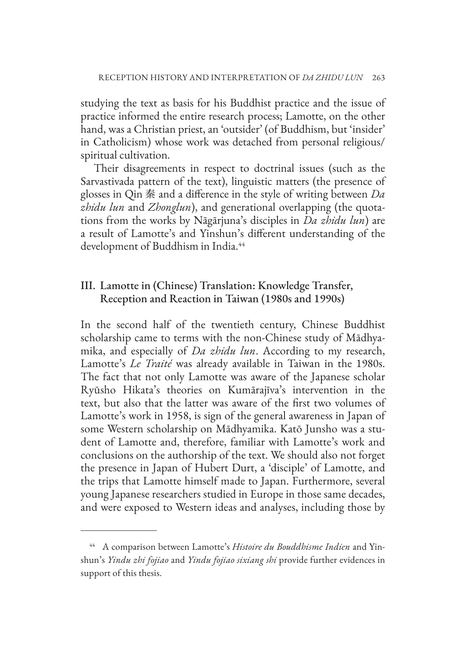studying the text as basis for his Buddhist practice and the issue of practice informed the entire research process; Lamotte, on the other hand, was a Christian priest, an 'outsider' (of Buddhism, but 'insider' in Catholicism) whose work was detached from personal religious/ spiritual cultivation.

Their disagreements in respect to doctrinal issues (such as the Sarvastivada pattern of the text), linguistic matters (the presence of glosses in Qin 秦 and a difference in the style of writing between *Da zhidu lun* and *Zhonglun*), and generational overlapping (the quotations from the works by Nāgārjuna's disciples in *Da zhidu lun*) are a result of Lamotte's and Yinshun's different understanding of the development of Buddhism in India.<sup>44</sup>

# III. Lamotte in (Chinese) Translation: Knowledge Transfer, Reception and Reaction in Taiwan (1980s and 1990s)

In the second half of the twentieth century, Chinese Buddhist scholarship came to terms with the non-Chinese study of Mādhyamika, and especially of *Da zhidu lun*. According to my research, Lamotte's *Le Traité* was already available in Taiwan in the 1980s. The fact that not only Lamotte was aware of the Japanese scholar Ryūsho Hikata's theories on Kumārajīva's intervention in the text, but also that the latter was aware of the first two volumes of Lamotte's work in 1958, is sign of the general awareness in Japan of some Western scholarship on Mādhyamika. Katō Junsho was a student of Lamotte and, therefore, familiar with Lamotte's work and conclusions on the authorship of the text. We should also not forget the presence in Japan of Hubert Durt, a 'disciple' of Lamotte, and the trips that Lamotte himself made to Japan. Furthermore, several young Japanese researchers studied in Europe in those same decades, and were exposed to Western ideas and analyses, including those by

<sup>44</sup> A comparison between Lamotte's *Histoire du Bouddhisme Indien* and Yinshun's *Yindu zhi fojiao* and *Yindu fojiao sixiang shi* provide further evidences in support of this thesis.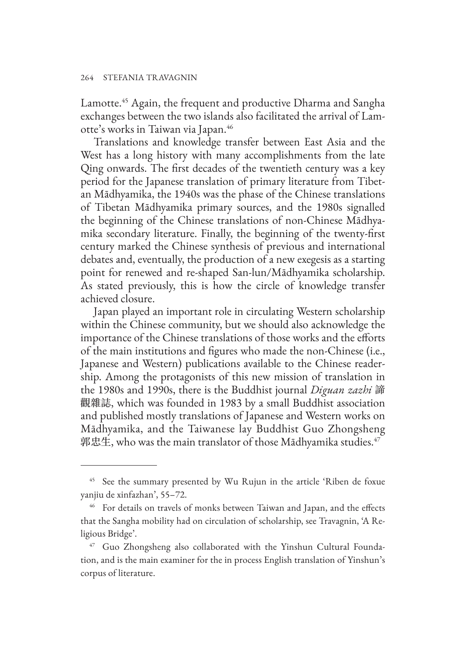Lamotte.45 Again, the frequent and productive Dharma and Sangha exchanges between the two islands also facilitated the arrival of Lamotte's works in Taiwan via Japan.46

Translations and knowledge transfer between East Asia and the West has a long history with many accomplishments from the late Qing onwards. The first decades of the twentieth century was a key period for the Japanese translation of primary literature from Tibetan Mādhyamika, the 1940s was the phase of the Chinese translations of Tibetan Mādhyamika primary sources, and the 1980s signalled the beginning of the Chinese translations of non-Chinese Mādhyamika secondary literature. Finally, the beginning of the twenty-first century marked the Chinese synthesis of previous and international debates and, eventually, the production of a new exegesis as a starting point for renewed and re-shaped San-lun/Mādhyamika scholarship. As stated previously, this is how the circle of knowledge transfer achieved closure.

Japan played an important role in circulating Western scholarship within the Chinese community, but we should also acknowledge the importance of the Chinese translations of those works and the efforts of the main institutions and figures who made the non-Chinese (i.e., Japanese and Western) publications available to the Chinese readership. Among the protagonists of this new mission of translation in the 1980s and 1990s, there is the Buddhist journal *Diguan zazhi* 諦 觀雜誌, which was founded in 1983 by a small Buddhist association and published mostly translations of Japanese and Western works on Mādhyamika, and the Taiwanese lay Buddhist Guo Zhongsheng 郭忠生, who was the main translator of those Mādhyamika studies. $47$ 

<sup>&</sup>lt;sup>45</sup> See the summary presented by Wu Rujun in the article 'Riben de foxue yanjiu de xinfazhan', 55–72.

<sup>&</sup>lt;sup>46</sup> For details on travels of monks between Taiwan and Japan, and the effects that the Sangha mobility had on circulation of scholarship, see Travagnin, 'A Religious Bridge'.

<sup>&</sup>lt;sup>47</sup> Guo Zhongsheng also collaborated with the Yinshun Cultural Foundation, and is the main examiner for the in process English translation of Yinshun's corpus of literature.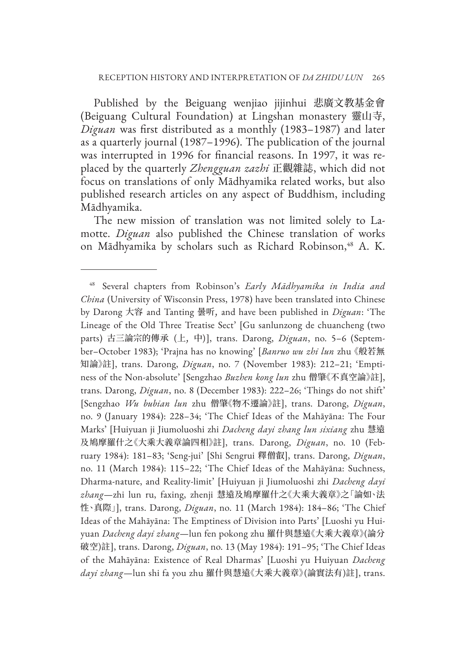Published by the Beiguang wenjiao jijinhui 悲廣文教基金會 (Beiguang Cultural Foundation) at Lingshan monastery 靈山寺, *Diguan* was first distributed as a monthly (1983–1987) and later as a quarterly journal (1987–1996). The publication of the journal was interrupted in 1996 for financial reasons. In 1997, it was replaced by the quarterly *Zhengguan zazhi* 正觀雜誌, which did not focus on translations of only Mādhyamika related works, but also published research articles on any aspect of Buddhism, including Mādhyamika.

The new mission of translation was not limited solely to Lamotte. *Diguan* also published the Chinese translation of works on Mādhyamika by scholars such as Richard Robinson,<sup>48</sup> A. K.

<sup>48</sup> Several chapters from Robinson's *Early Mādhyamika in India and China* (University of Wisconsin Press, 1978) have been translated into Chinese by Darong 大容 and Tanting 曇听, and have been published in *Diguan*: 'The Lineage of the Old Three Treatise Sect' [Gu sanlunzong de chuancheng (two parts) 古三論宗的傳承 (上, 中)], trans. Darong, *Diguan*, no. 5–6 (September–October 1983); 'Prajna has no knowing' [*Banruo wu zhi lun* zhu 《般若無 知論》註], trans. Darong, *Diguan*, no. 7 (November 1983): 212–21; 'Emptiness of the Non-absolute' [Sengzhao *Buzhen kong lun* zhu 僧肇《不真空論》註], trans. Darong, *Diguan*, no. 8 (December 1983): 222–26; 'Things do not shift' [Sengzhao *Wu bubian lun* zhu 僧肇《物不遷論》註], trans. Darong, *Diguan*, no. 9 (January 1984): 228–34; 'The Chief Ideas of the Mahāyāna: The Four Marks' [Huiyuan ji Jiumoluoshi zhi *Dacheng dayi zhang lun sixiang* zhu 慧遠 及鳩摩羅什之《大乘大義章論四相》註], trans. Darong, *Diguan*, no. 10 (February 1984): 181–83; 'Seng-jui' [Shi Sengrui 釋僧叡], trans. Darong, *Diguan*, no. 11 (March 1984): 115–22; 'The Chief Ideas of the Mahāyāna: Suchness, Dharma-nature, and Reality-limit' [Huiyuan ji Jiumoluoshi zhi *Dacheng dayi zhang*—zhi lun ru, faxing, zhenji 慧遠及鳩摩羅什之《大乘大義章》之「論如、法 性、真際」], trans. Darong, *Diguan*, no. 11 (March 1984): 184–86; 'The Chief Ideas of the Mahāyāna: The Emptiness of Division into Parts' [Luoshi yu Huiyuan *Dacheng dayi zhang*—lun fen pokong zhu 羅什與慧遠《大乘大義章》(論分 破空)註], trans. Darong, *Diguan*, no. 13 (May 1984): 191–95; 'The Chief Ideas of the Mahāyāna: Existence of Real Dharmas' [Luoshi yu Huiyuan *Dacheng dayi zhang*—lun shi fa you zhu 羅什與慧遠《大乘大義章》(論實法有)註], trans.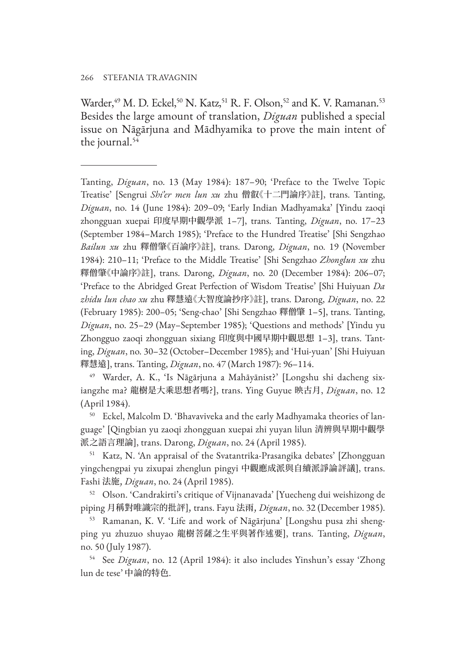Warder,<sup>49</sup> M. D. Eckel,<sup>50</sup> N. Katz,<sup>51</sup> R. F. Olson,<sup>52</sup> and K. V. Ramanan.<sup>53</sup> Besides the large amount of translation, *Diguan* published a special issue on Nāgārjuna and Mādhyamika to prove the main intent of the journal.54

Tanting, *Diguan*, no. 13 (May 1984): 187–90; 'Preface to the Twelve Topic Treatise' [Sengrui *Shi'er men lun xu* zhu 僧叡《十二門論序》註], trans. Tanting, *Diguan*, no. 14 (June 1984): 209–09; 'Early Indian Madhyamaka' [Yindu zaoqi zhongguan xuepai 印度早期中觀學派 1–7], trans. Tanting, *Diguan*, no. 17–23 (September 1984–March 1985); 'Preface to the Hundred Treatise' [Shi Sengzhao *Bailun xu* zhu 釋僧肇《百論序》註], trans. Darong, *Diguan*, no. 19 (November 1984): 210–11; 'Preface to the Middle Treatise' [Shi Sengzhao *Zhonglun xu* zhu 釋僧肇《中論序》註], trans. Darong, *Diguan*, no. 20 (December 1984): 206–07; 'Preface to the Abridged Great Perfection of Wisdom Treatise' [Shi Huiyuan *Da zhidu lun chao xu* zhu 釋慧遠《大智度論抄序》註], trans. Darong, *Diguan*, no. 22 (February 1985): 200–05; 'Seng-chao' [Shi Sengzhao 釋僧肇 1–5], trans. Tanting, *Diguan*, no. 25–29 (May–September 1985); 'Questions and methods' [Yindu yu Zhongguo zaoqi zhongguan sixiang 印度與中國早期中觀思想 1–3], trans. Tanting, *Diguan*, no. 30–32 (October–December 1985); and 'Hui-yuan' [Shi Huiyuan 釋慧遠], trans. Tanting, *Diguan*, no. 47 (March 1987): 96–114.

<sup>49</sup> Warder, A. K., 'Is Nāgārjuna a Mahāyānist?' [Longshu shi dacheng sixiangzhe ma? 龍樹是大乘思想者嗎?], trans. Ying Guyue 映古月, *Diguan*, no. 12 (April 1984).

<sup>50</sup> Eckel, Malcolm D. 'Bhavaviveka and the early Madhyamaka theories of language' [Qingbian yu zaoqi zhongguan xuepai zhi yuyan lilun 清辨與早期中觀學 派之語言理論], trans. Darong, *Diguan*, no. 24 (April 1985).

<sup>51</sup> Katz, N. 'An appraisal of the Svatantrika-Prasangika debates' [Zhongguan yingchengpai yu zixupai zhenglun pingyi 中觀應成派與自續派諍論評議], trans. Fashi 法施, *Diguan*, no. 24 (April 1985).

<sup>52</sup> Olson. 'Candrakirti's critique of Vijnanavada' [Yuecheng dui weishizong de piping 月稱對唯識宗的批評], trans. Fayu 法雨, *Diguan*, no. 32 (December 1985).

<sup>53</sup> Ramanan, K. V. 'Life and work of Nāgārjuna' [Longshu pusa zhi shengping yu zhuzuo shuyao 龍樹菩薩之生平與著作述要], trans. Tanting, *Diguan*, no. 50 (July 1987).

<sup>54</sup> See *Diguan*, no. 12 (April 1984): it also includes Yinshun's essay 'Zhong lun de tese' 中論的特色.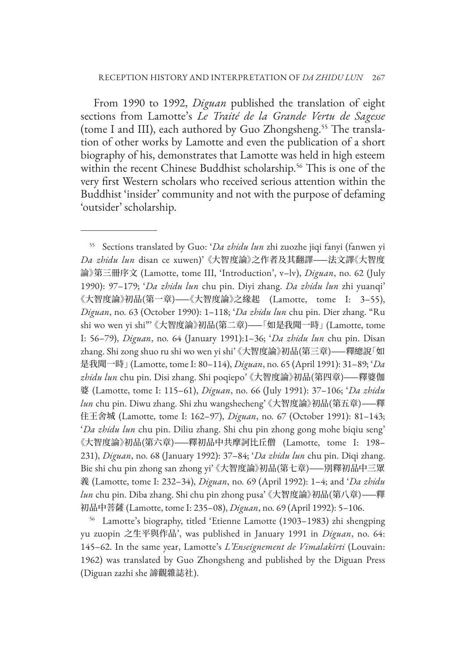From 1990 to 1992, *Diguan* published the translation of eight sections from Lamotte's *Le Traité de la Grande Vertu de Sagesse*  (tome I and III), each authored by Guo Zhongsheng.55 The translation of other works by Lamotte and even the publication of a short biography of his, demonstrates that Lamotte was held in high esteem within the recent Chinese Buddhist scholarship.<sup>56</sup> This is one of the very first Western scholars who received serious attention within the Buddhist 'insider' community and not with the purpose of defaming 'outsider' scholarship.

<sup>55</sup> Sections translated by Guo: '*Da zhidu lun* zhi zuozhe jiqi fanyi (fanwen yi *Da zhidu lun* disan ce xuwen)' 《大智度論》之作者及其翻譯——法文譯《大智度 論》第三冊序文 (Lamotte, tome III, 'Introduction', v–lv), *Diguan*, no. 62 (July 1990): 97–179; '*Da zhidu lun* chu pin. Diyi zhang. *Da zhidu lun* zhi yuanqi' 《大智度論》初品(第一章)——《大智度論》之緣起 (Lamotte, tome I: 3–55), *Diguan*, no. 63 (October 1990): 1–118; '*Da zhidu lun* chu pin. Dier zhang. "Ru shi wo wen yi shi"' 《大智度論》初品(第二章)——「如是我聞一時」 (Lamotte, tome I: 56–79), *Diguan*, no. 64 (January 1991):1–36; '*Da zhidu lun* chu pin. Disan zhang. Shi zong shuo ru shi wo wen yi shi' 《大智度論》初品(第三章)——釋總說「如 是我聞一時」 (Lamotte, tome I: 80–114), *Diguan*, no. 65 (April 1991): 31–89; '*Da zhidu lun* chu pin. Disi zhang. Shi poqiepo' 《大智度論》初品(第四章)——釋婆伽 婆 (Lamotte, tome I: 115–61), *Diguan*, no. 66 (July 1991): 37–106; '*Da zhidu lun* chu pin. Diwu zhang. Shi zhu wangshecheng' 《大智度論》初品(第五章)——釋 住王舍城 (Lamotte, tome I: 162–97), *Diguan*, no. 67 (October 1991): 81–143; '*Da zhidu lun* chu pin. Diliu zhang. Shi chu pin zhong gong mohe biqiu seng' 《大智度論》初品(第六章)——釋初品中共摩訶比丘僧 (Lamotte, tome I: 198– 231), *Diguan*, no. 68 (January 1992): 37–84; '*Da zhidu lun* chu pin. Diqi zhang. Bie shi chu pin zhong san zhong yi' 《大智度論》初品(第七章)——別釋初品中三眾 義 (Lamotte, tome I: 232–34), *Diguan*, no. 69 (April 1992): 1–4; and '*Da zhidu lun* chu pin. Diba zhang. Shi chu pin zhong pusa' 《大智度論》初品(第八章)——釋 初品中菩薩 (Lamotte, tome I: 235–08), *Diguan*, no. 69 (April 1992): 5–106.

<sup>56</sup> Lamotte's biography, titled 'Etienne Lamotte (1903–1983) zhi shengping yu zuopin 之生平與作品', was published in January 1991 in *Diguan*, no. 64: 145–62. In the same year, Lamotte's *L'Enseignement de Vimalakīrti* (Louvain: 1962) was translated by Guo Zhongsheng and published by the Diguan Press (Diguan zazhi she 諦觀雜誌社).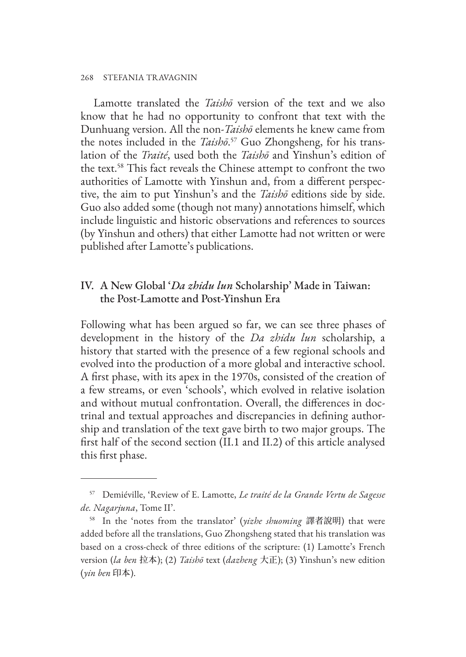#### 268 STEFANIA TRAVAGNIN

Lamotte translated the *Taishō* version of the text and we also know that he had no opportunity to confront that text with the Dunhuang version. All the non-*Taishō* elements he knew came from the notes included in the *Taishō*. 57 Guo Zhongsheng, for his translation of the *Traité*, used both the *Taishō* and Yinshun's edition of the text.58 This fact reveals the Chinese attempt to confront the two authorities of Lamotte with Yinshun and, from a different perspective, the aim to put Yinshun's and the *Taishō* editions side by side. Guo also added some (though not many) annotations himself, which include linguistic and historic observations and references to sources (by Yinshun and others) that either Lamotte had not written or were published after Lamotte's publications.

# IV. A New Global '*Da zhidu lun* Scholarship' Made in Taiwan: the Post-Lamotte and Post-Yinshun Era

Following what has been argued so far, we can see three phases of development in the history of the *Da zhidu lun* scholarship, a history that started with the presence of a few regional schools and evolved into the production of a more global and interactive school. A first phase, with its apex in the 1970s, consisted of the creation of a few streams, or even 'schools', which evolved in relative isolation and without mutual confrontation. Overall, the differences in doctrinal and textual approaches and discrepancies in defining authorship and translation of the text gave birth to two major groups. The first half of the second section (II.1 and II.2) of this article analysed this first phase.

<sup>57</sup> Demiéville, 'Review of E. Lamotte, *Le traité de la Grande Vertu de Sagesse de. Nagarjuna*, Tome II'.

<sup>58</sup> In the 'notes from the translator' (*yizhe shuoming* 譯者說明) that were added before all the translations, Guo Zhongsheng stated that his translation was based on a cross-check of three editions of the scripture: (1) Lamotte's French version (*la ben* 拉本); (2) *Taishō* text (*dazheng* 大正); (3) Yinshun's new edition (*yin ben* 印本).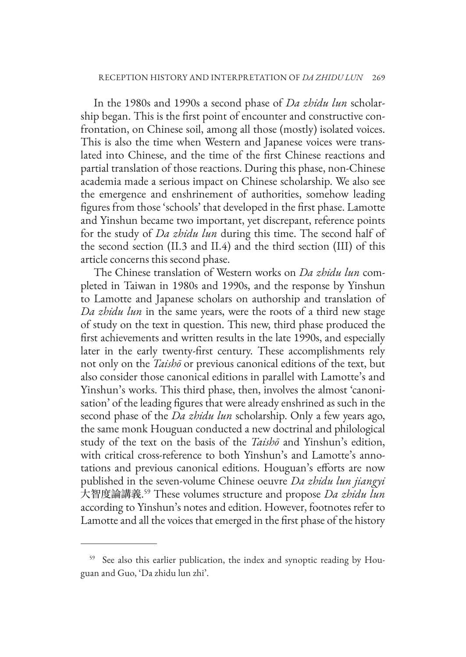In the 1980s and 1990s a second phase of *Da zhidu lun* scholarship began. This is the first point of encounter and constructive confrontation, on Chinese soil, among all those (mostly) isolated voices. This is also the time when Western and Japanese voices were translated into Chinese, and the time of the first Chinese reactions and partial translation of those reactions. During this phase, non-Chinese academia made a serious impact on Chinese scholarship. We also see the emergence and enshrinement of authorities, somehow leading figures from those 'schools' that developed in the first phase. Lamotte and Yinshun became two important, yet discrepant, reference points for the study of *Da zhidu lun* during this time. The second half of the second section (II.3 and II.4) and the third section (III) of this article concerns this second phase.

The Chinese translation of Western works on *Da zhidu lun* completed in Taiwan in 1980s and 1990s, and the response by Yinshun to Lamotte and Japanese scholars on authorship and translation of *Da zhidu lun* in the same years, were the roots of a third new stage of study on the text in question. This new, third phase produced the first achievements and written results in the late 1990s, and especially later in the early twenty-first century. These accomplishments rely not only on the *Taishō* or previous canonical editions of the text, but also consider those canonical editions in parallel with Lamotte's and Yinshun's works. This third phase, then, involves the almost 'canonisation' of the leading figures that were already enshrined as such in the second phase of the *Da zhidu lun* scholarship. Only a few years ago, the same monk Houguan conducted a new doctrinal and philological study of the text on the basis of the *Taishō* and Yinshun's edition, with critical cross-reference to both Yinshun's and Lamotte's annotations and previous canonical editions. Houguan's efforts are now published in the seven-volume Chinese oeuvre *Da zhidu lun jiangyi* 大智度論講義. 59 These volumes structure and propose *Da zhidu lun* according to Yinshun's notes and edition. However, footnotes refer to Lamotte and all the voices that emerged in the first phase of the history

<sup>59</sup> See also this earlier publication, the index and synoptic reading by Houguan and Guo, 'Da zhidu lun zhi'.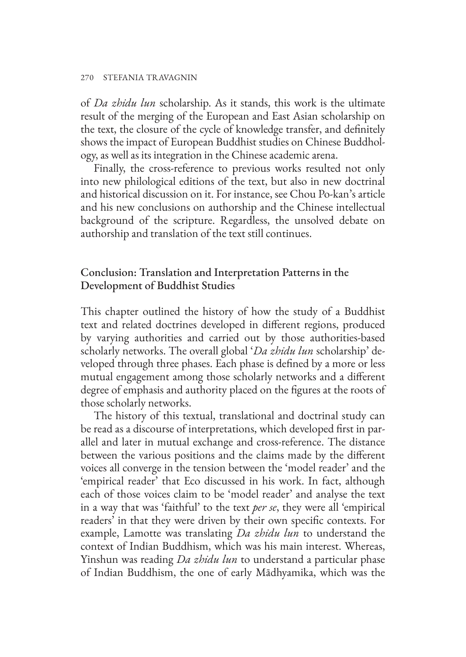#### 270 STEFANIA TRAVAGNIN

of *Da zhidu lun* scholarship. As it stands, this work is the ultimate result of the merging of the European and East Asian scholarship on the text, the closure of the cycle of knowledge transfer, and definitely shows the impact of European Buddhist studies on Chinese Buddhology, as well as its integration in the Chinese academic arena.

Finally, the cross-reference to previous works resulted not only into new philological editions of the text, but also in new doctrinal and historical discussion on it. For instance, see Chou Po-kan's article and his new conclusions on authorship and the Chinese intellectual background of the scripture. Regardless, the unsolved debate on authorship and translation of the text still continues.

## Conclusion: Translation and Interpretation Patterns in the Development of Buddhist Studies

This chapter outlined the history of how the study of a Buddhist text and related doctrines developed in different regions, produced by varying authorities and carried out by those authorities-based scholarly networks. The overall global '*Da zhidu lun* scholarship' developed through three phases. Each phase is defined by a more or less mutual engagement among those scholarly networks and a different degree of emphasis and authority placed on the figures at the roots of those scholarly networks.

The history of this textual, translational and doctrinal study can be read as a discourse of interpretations, which developed first in parallel and later in mutual exchange and cross-reference. The distance between the various positions and the claims made by the different voices all converge in the tension between the 'model reader' and the 'empirical reader' that Eco discussed in his work. In fact, although each of those voices claim to be 'model reader' and analyse the text in a way that was 'faithful' to the text *per se*, they were all 'empirical readers' in that they were driven by their own specific contexts. For example, Lamotte was translating *Da zhidu lun* to understand the context of Indian Buddhism, which was his main interest. Whereas, Yinshun was reading *Da zhidu lun* to understand a particular phase of Indian Buddhism, the one of early Mādhyamika, which was the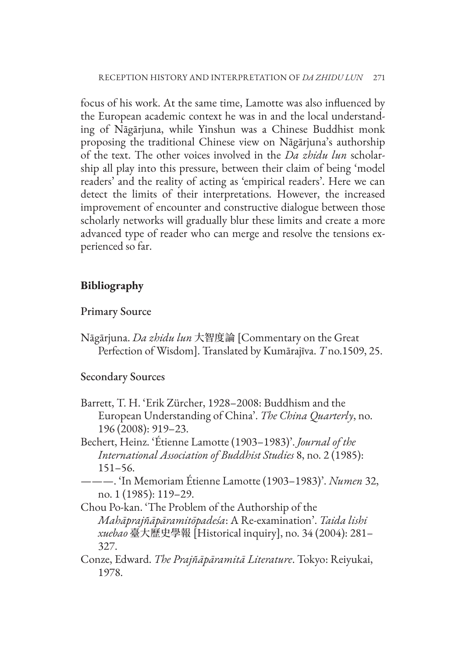focus of his work. At the same time, Lamotte was also influenced by the European academic context he was in and the local understanding of Nāgārjuna, while Yinshun was a Chinese Buddhist monk proposing the traditional Chinese view on Nāgārjuna's authorship of the text. The other voices involved in the *Da zhidu lun* scholarship all play into this pressure, between their claim of being 'model readers' and the reality of acting as 'empirical readers'. Here we can detect the limits of their interpretations. However, the increased improvement of encounter and constructive dialogue between those scholarly networks will gradually blur these limits and create a more advanced type of reader who can merge and resolve the tensions experienced so far.

# **Bibliography**

#### Primary Source

Nāgārjuna. *Da zhidu lun* 大智度論 [Commentary on the Great Perfection of Wisdom]. Translated by Kumārajīva. *T* no.1509, 25.

#### Secondary Sources

- Barrett, T. H. 'Erik Zürcher, 1928–2008: Buddhism and the European Understanding of China'. *The China Quarterly*, no. 196 (2008): 919–23.
- Bechert, Heinz. 'Étienne Lamotte (1903–1983)'. *Journal of the International Association of Buddhist Studies* 8, no. 2 (1985): 151–56.
- ———. 'In Memoriam Étienne Lamotte (1903–1983)'. *Numen* 32, no. 1 (1985): 119–29.
- Chou Po-kan. 'The Problem of the Authorship of the *Mahāprajñāpāramitōpadeśa*: A Re-examination'. *Taida lishi xuebao* 臺大歷史學報 [Historical inquiry], no. 34 (2004): 281– 327.
- Conze, Edward. *The Prajñāpāramitā Literature*. Tokyo: Reiyukai, 1978.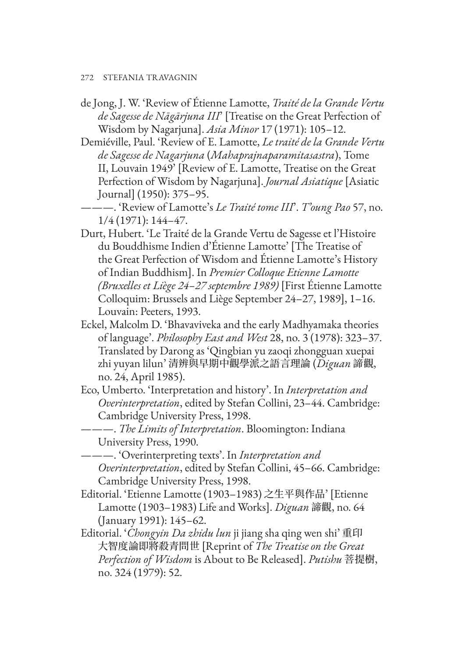- 272 STEFANIA TRAVAGNIN
- de Jong, J. W. 'Review of Étienne Lamotte, *Traité de la Grande Vertu de Sagesse de Nāgārjuna III*' [Treatise on the Great Perfection of Wisdom by Nagarjuna]. *Asia Minor* 17 (1971): 105–12.
- Demiéville, Paul. 'Review of E. Lamotte, *Le traité de la Grande Vertu de Sagesse de Nagarjuna* (*Mahaprajnaparamitasastra*), Tome II, Louvain 1949' [Review of E. Lamotte, Treatise on the Great Perfection of Wisdom by Nagarjuna]. *Journal Asiatique* [Asiatic Journal] (1950): 375–95.
	- ———. 'Review of Lamotte's *Le Traité tome III*'. *T'oung Pao* 57, no. 1/4 (1971): 144–47.
- Durt, Hubert. 'Le Traité de la Grande Vertu de Sagesse et l'Histoire du Bouddhisme Indien d'Étienne Lamotte' [The Treatise of the Great Perfection of Wisdom and Étienne Lamotte's History of Indian Buddhism]. In *Premier Colloque Etienne Lamotte (Bruxelles et Liège 24–27 septembre 1989)* [First Étienne Lamotte Colloquim: Brussels and Liège September 24–27, 1989], 1–16. Louvain: Peeters, 1993.
- Eckel, Malcolm D. 'Bhavaviveka and the early Madhyamaka theories of language'. *Philosophy East and West* 28, no. 3 (1978): 323–37. Translated by Darong as 'Qingbian yu zaoqi zhongguan xuepai zhi yuyan lilun' 清辨與早期中觀學派之語言理論 (*Diguan* 諦觀, no. 24, April 1985).
- Eco, Umberto. 'Interpretation and history'. In *Interpretation and Overinterpretation*, edited by Stefan Collini, 23–44. Cambridge: Cambridge University Press, 1998.
- ———. *The Limits of Interpretation*. Bloomington: Indiana University Press, 1990.
- ———. 'Overinterpreting texts'. In *Interpretation and Overinterpretation*, edited by Stefan Collini, 45–66. Cambridge: Cambridge University Press, 1998.
- Editorial. 'Etienne Lamotte (1903–1983) 之生平與作品' [Etienne Lamotte (1903–1983) Life and Works]. *Diguan* 諦觀, no. 64 (January 1991): 145–62.
- Editorial. '*Chongyin Da zhidu lun* ji jiang sha qing wen shi' 重印 大智度論即將殺青問世 [Reprint of *The Treatise on the Great Perfection of Wisdom* is About to Be Released]. *Putishu* 菩提樹, no. 324 (1979): 52.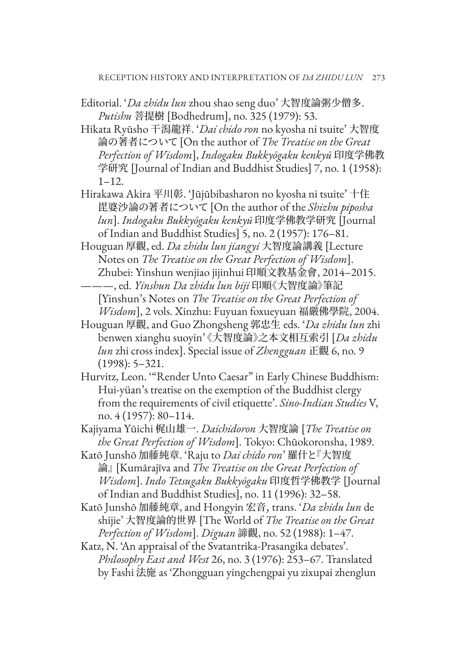Editorial. '*Da zhidu lun* zhou shao seng duo' 大智度論粥少僧多. *Putishu* 菩提樹 [Bodhedrum], no. 325 (1979): 53.

Hikata Ryūsho 干潟龍祥. '*Dai chido ron* no kyosha ni tsuite' 大智度 論の著者について [On the author of *The Treatise on the Great Perfection of Wisdom*], *Indogaku Bukkyōgaku kenkyū* 印度学佛教 学研究 [Journal of Indian and Buddhist Studies] 7, no. 1 (1958): 1–12.

- Hirakawa Akira 平川彰. 'Jūjūbibasharon no kyosha ni tsuite' 十住 毘婆沙論の著者について [On the author of the *Shizhu piposha lun*]. *Indogaku Bukkyōgaku kenkyū* 印度学佛教学研究 [Journal of Indian and Buddhist Studies] 5, no. 2 (1957): 176–81.
- Houguan 厚觀, ed. *Da zhidu lun jiangyi* 大智度論講義 [Lecture Notes on *The Treatise on the Great Perfection of Wisdom*]. Zhubei: Yinshun wenjiao jijinhui 印順文教基金會, 2014–2015. ———, ed. *Yinshun Da zhidu lun biji* 印順《大智度論》筆記 [Yinshun's Notes on *The Treatise on the Great Perfection of*
- *Wisdom*], 2 vols. Xinzhu: Fuyuan foxueyuan 福嚴佛學院, 2004. Houguan 厚觀, and Guo Zhongsheng 郭忠生 eds. '*Da zhidu lun* zhi benwen xianghu suoyin' 《大智度論》之本文相互索引 [*Da zhidu lun* zhi cross index]. Special issue of *Zhengguan* 正觀 6, no. 9

- Hurvitz, Leon. '"Render Unto Caesar" in Early Chinese Buddhism: Hui-yüan's treatise on the exemption of the Buddhist clergy from the requirements of civil etiquette'. *Sino-Indian Studies* V, no. 4 (1957): 80–114.
- Kajiyama Yūichi 梶山雄一. *Daichidoron* 大智度論 [*The Treatise on the Great Perfection of Wisdom*]. Tokyo: Chūokoronsha, 1989.
- Katō Junshō 加藤純章. 'Raju to *Dai chido ron*' 羅什と『大智度 論』 [Kumārajīva and *The Treatise on the Great Perfection of Wisdom*]. *Indo Tetsugaku Bukkyōgaku* 印度哲学佛教学 [Journal of Indian and Buddhist Studies], no. 11 (1996): 32–58.
- Katō Junshō 加藤純章, and Hongyin 宏音, trans. '*Da zhidu lun* de shijie' 大智度論的世界 [The World of *The Treatise on the Great Perfection of Wisdom*]. *Diguan* 諦觀, no. 52 (1988): 1–47.

Katz, N. 'An appraisal of the Svatantrika-Prasangika debates'. *Philosophy East and West* 26, no. 3 (1976): 253–67. Translated by Fashi 法施 as 'Zhongguan yingchengpai yu zixupai zhenglun

<sup>(1998): 5–321.</sup>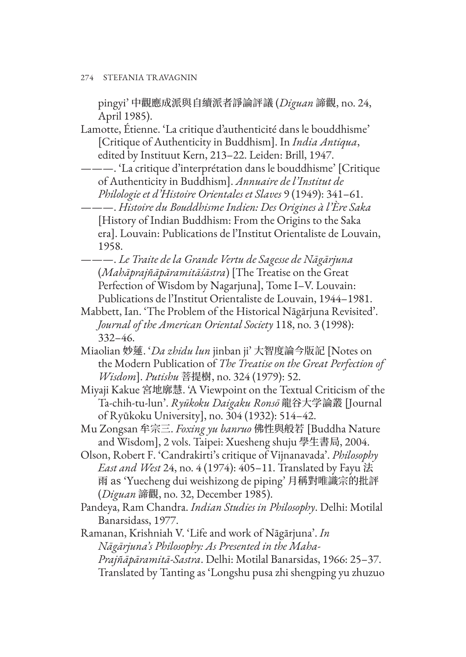pingyi' 中觀應成派與自續派者諍論評議 (*Diguan* 諦觀, no. 24, April 1985).

Lamotte, Étienne. 'La critique d'authenticité dans le bouddhisme' [Critique of Authenticity in Buddhism]. In *India Antiqua*, edited by Instituut Kern, 213–22. Leiden: Brill, 1947.

———. 'La critique d'interprétation dans le bouddhisme' [Critique of Authenticity in Buddhism]. *Annuaire de l'Institut de Philologie et d'Histoire Orientales et Slaves* 9 (1949): 341–61.

———. *Histoire du Bouddhisme Indien: Des Origines à l'Ère Saka* [History of Indian Buddhism: From the Origins to the Saka era]. Louvain: Publications de l'Institut Orientaliste de Louvain, 1958.

———. *Le Traite de la Grande Vertu de Sagesse de Nāgārjuna* (*Mahāprajñāpāramitāśāstra*) [The Treatise on the Great Perfection of Wisdom by Nagarjuna], Tome I–V. Louvain: Publications de l'Institut Orientaliste de Louvain, 1944–1981.

Mabbett, Ian. 'The Problem of the Historical Nāgārjuna Revisited'. *Journal of the American Oriental Society* 118, no. 3 (1998): 332–46.

- Miaolian 妙蓮. '*Da zhidu lun* jinban ji' 大智度論今版記 [Notes on the Modern Publication of *The Treatise on the Great Perfection of Wisdom*]. *Putishu* 菩提樹, no. 324 (1979): 52.
- Miyaji Kakue 宮地廓慧. 'A Viewpoint on the Textual Criticism of the Ta-chih-tu-lun'. *Ryūkoku Daigaku Ronsō* 龍谷大学論叢 [Journal of Ryūkoku University], no. 304 (1932): 514–42.

Mu Zongsan 牟宗三. *Foxing yu banruo* 佛性與般若 [Buddha Nature and Wisdom], 2 vols. Taipei: Xuesheng shuju 學生書局, 2004.

- Olson, Robert F. 'Candrakirti's critique of Vijnanavada'. *Philosophy East and West* 24, no. 4 (1974): 405–11. Translated by Fayu 法 雨 as 'Yuecheng dui weishizong de piping' 月稱對唯識宗的批評 (*Diguan* 諦觀, no. 32, December 1985).
- Pandeya, Ram Chandra. *Indian Studies in Philosophy*. Delhi: Motilal Banarsidass, 1977.

Ramanan, Krishniah V. 'Life and work of Nāgārjuna'. *In Nāgārjuna's Philosophy: As Presented in the Maha-Prajñāpāramitā-Sastra*. Delhi: Motilal Banarsidas, 1966: 25–37. Translated by Tanting as 'Longshu pusa zhi shengping yu zhuzuo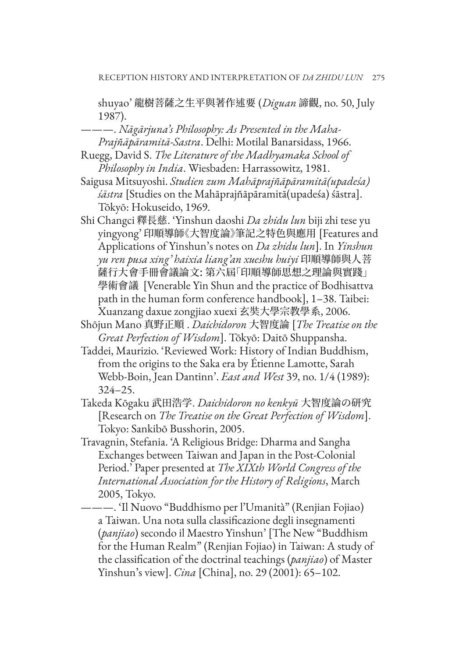shuyao' 龍樹菩薩之生平與著作述要 (*Diguan* 諦觀, no. 50, July 1987).

- ———. *Nāgārjuna's Philosophy: As Presented in the Maha-Prajñāpāramitā-Sastra*. Delhi: Motilal Banarsidass, 1966.
- Ruegg, David S. *The Literature of the Madhyamaka School of Philosophy in India*. Wiesbaden: Harrassowitz, 1981.
- Saigusa Mitsuyoshi. *Studien zum Mahāprajñāpāramitā(upadeśa) śāstra* [Studies on the Mahāprajñāpāramitā(upadeśa) śāstra]. Tōkyō: Hokuseido, 1969.
- Shi Changci 釋長慈. 'Yinshun daoshi *Da zhidu lun* biji zhi tese yu yingyong' 印順導師《大智度論》筆記之特色與應用 [Features and Applications of Yinshun's notes on *Da zhidu lun*]. In *Yinshun yu ren pusa xing' haixia liang'an xueshu huiyi* 印順導師與人菩 薩行大會手冊會議論文: 第六屆「印順導師思想之理論與實踐」 學術會議 [Venerable Yin Shun and the practice of Bodhisattva path in the human form conference handbook], 1–38. Taibei: Xuanzang daxue zongjiao xuexi 玄奘大學宗教學系, 2006.
- Shōjun Mano 真野正順 . *Daichidoron* 大智度論 [*The Treatise on the Great Perfection of Wisdom*]. Tōkyō: Daitō Shuppansha.
- Taddei, Maurizio. 'Reviewed Work: History of Indian Buddhism, from the origins to the Saka era by Étienne Lamotte, Sarah Webb-Boin, Jean Dantinn'. *East and West* 39, no. 1/4 (1989): 324–25.
- Takeda Kōgaku 武田浩学. *Daichidoron no kenkyū* 大智度論の研究 [Research on *The Treatise on the Great Perfection of Wisdom*]. Tokyo: Sankibō Busshorin, 2005.
- Travagnin, Stefania. 'A Religious Bridge: Dharma and Sangha Exchanges between Taiwan and Japan in the Post-Colonial Period.' Paper presented at *The XIXth World Congress of the International Association for the History of Religions*, March 2005, Tokyo.

———. 'Il Nuovo "Buddhismo per l'Umanità" (Renjian Fojiao) a Taiwan. Una nota sulla classificazione degli insegnamenti (*panjiao*) secondo il Maestro Yinshun' [The New "Buddhism for the Human Realm" (Renjian Fojiao) in Taiwan: A study of the classification of the doctrinal teachings (*panjiao*) of Master Yinshun's view]. *Cina* [China], no. 29 (2001): 65–102.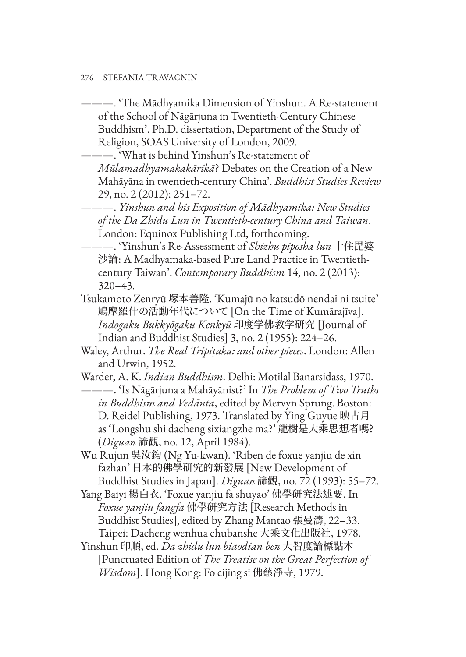- ———. 'The Mādhyamika Dimension of Yinshun. A Re-statement of the School of Nāgārjuna in Twentieth-Century Chinese Buddhism'. Ph.D. dissertation, Department of the Study of Religion, SOAS University of London, 2009.
	- ———. 'What is behind Yinshun's Re-statement of *Mūlamadhyamakakārikā*? Debates on the Creation of a New Mahāyāna in twentieth-century China'. *Buddhist Studies Review* 29, no. 2 (2012): 251–72.
- ———. *Yinshun and his Exposition of Mādhyamika: New Studies of the Da Zhidu Lun in Twentieth-century China and Taiwan*. London: Equinox Publishing Ltd, forthcoming.
- ———. 'Yinshun's Re-Assessment of *Shizhu piposha lun* 十住毘婆 沙論: A Madhyamaka-based Pure Land Practice in Twentiethcentury Taiwan'. *Contemporary Buddhism* 14, no. 2 (2013): 320–43.
- Tsukamoto Zenryū 塚本善隆. 'Kumajū no katsudō nendai ni tsuite' 鳩摩羅什の活動年代について [On the Time of Kumārajīva]. *Indogaku Bukkyōgaku Kenkyū* 印度学佛教学研究 [Journal of Indian and Buddhist Studies] 3, no. 2 (1955): 224–26.
- Waley, Arthur. *The Real Tripiṭaka: and other pieces*. London: Allen and Urwin, 1952.
- Warder, A. K. *Indian Buddhism*. Delhi: Motilal Banarsidass, 1970. ———. 'Is Nāgārjuna a Mahāyānist?' In *The Problem of Two Truths in Buddhism and Vedānta*, edited by Mervyn Sprung. Boston: D. Reidel Publishing, 1973. Translated by Ying Guyue 映古月 as 'Longshu shi dacheng sixiangzhe ma?' 龍樹是大乘思想者嗎? (*Diguan* 諦觀, no. 12, April 1984).
- Wu Rujun 吳汝鈞 (Ng Yu-kwan). 'Riben de foxue yanjiu de xin fazhan' 日本的佛學研究的新發展 [New Development of Buddhist Studies in Japan]. *Diguan* 諦觀, no. 72 (1993): 55–72.
- Yang Baiyi 楊白衣. 'Foxue yanjiu fa shuyao' 佛學研究法述要. In *Foxue yanjiu fangfa* 佛學研究方法 [Research Methods in Buddhist Studies], edited by Zhang Mantao 張曼濤, 22–33. Taipei: Dacheng wenhua chubanshe 大乘文化出版社, 1978.
- Yinshun 印順, ed. *Da zhidu lun biaodian ben* 大智度論標點本 [Punctuated Edition of *The Treatise on the Great Perfection of Wisdom*]. Hong Kong: Fo cijing si 佛慈淨寺, 1979.